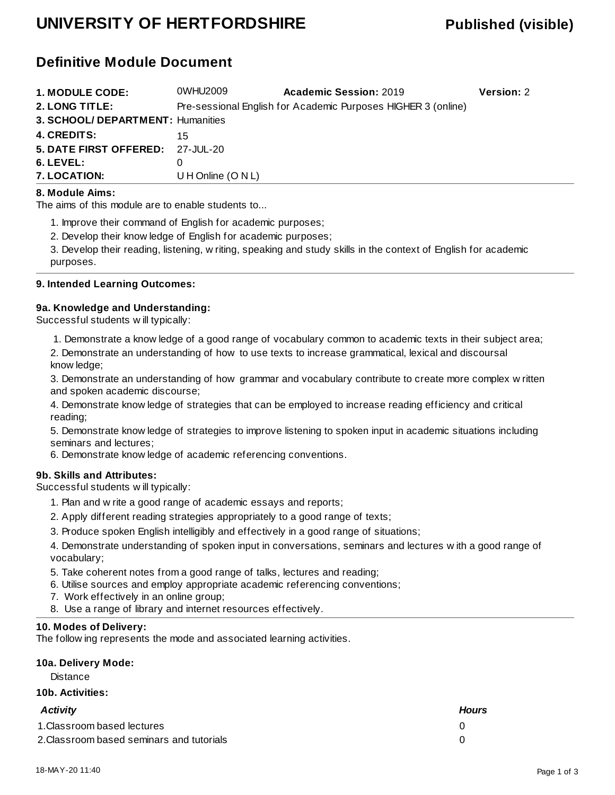## **UNIVERSITY OF HERTFORDSHIRE Published (visible)**

## **Definitive Module Document**

| <b>1. MODULE CODE:</b>            | 0WHU2009             | <b>Academic Session: 2019</b>                                 | Version: 2 |
|-----------------------------------|----------------------|---------------------------------------------------------------|------------|
| <b>2. LONG TITLE:</b>             |                      | Pre-sessional English for Academic Purposes HIGHER 3 (online) |            |
| 3. SCHOOL/ DEPARTMENT: Humanities |                      |                                                               |            |
| <b>4. CREDITS:</b>                | 15                   |                                                               |            |
| 5. DATE FIRST OFFERED: 27-JUL-20  |                      |                                                               |            |
| 6. LEVEL:                         |                      |                                                               |            |
| 7. LOCATION:                      | U H Online $(O N L)$ |                                                               |            |

#### **8. Module Aims:**

The aims of this module are to enable students to...

1. Improve their command of English for academic purposes;

2. Develop their knowledge of English for academic purposes;

3. Develop their reading, listening, writing, speaking and study skills in the context of English for academic purposes.

#### **9. Intended Learning Outcomes:**

#### **9a. Knowledge and Understanding:**

Successful students will typically:

1. Demonstrate a knowledge of a good range of vocabulary common to academic texts in their subject area;

2. Demonstrate an understanding of how to use texts to increase grammatical, lexical and discoursal knowledge;

3. Demonstrate an understanding of how grammar and vocabulary contribute to create more complex written and spoken academic discourse;

4. Demonstrate knowledge of strategies that can be employed to increase reading efficiency and critical reading;

5. Demonstrate knowledge of strategies to improve listening to spoken input in academic situations including seminars and lectures;

6. Demonstrate knowledge of academic referencing conventions.

#### **9b. Skills and Attributes:**

Successful students will typically:

- 1. Plan and write a good range of academic essays and reports;
- 2. Apply different reading strategies appropriately to a good range of texts;
- 3. Produce spoken English intelligibly and effectively in a good range of situations;

4. Demonstrate understanding of spoken input in conversations, seminars and lectures with a good range of vocabulary;

- 5. Take coherent notes from a good range of talks, lectures and reading;
- 6. Utilise sources and employ appropriate academic referencing conventions;
- 7. Work effectively in an online group;
- 8. Use a range of library and internet resources effectively.

#### **10. Modes of Delivery:**

The following represents the mode and associated learning activities.

### **10a. Delivery Mode:**

**Distance** 

#### **10b. Activities:**

| Activity                                  | <b>Hours</b> |
|-------------------------------------------|--------------|
| 1. Classroom based lectures               |              |
| 2. Classroom based seminars and tutorials |              |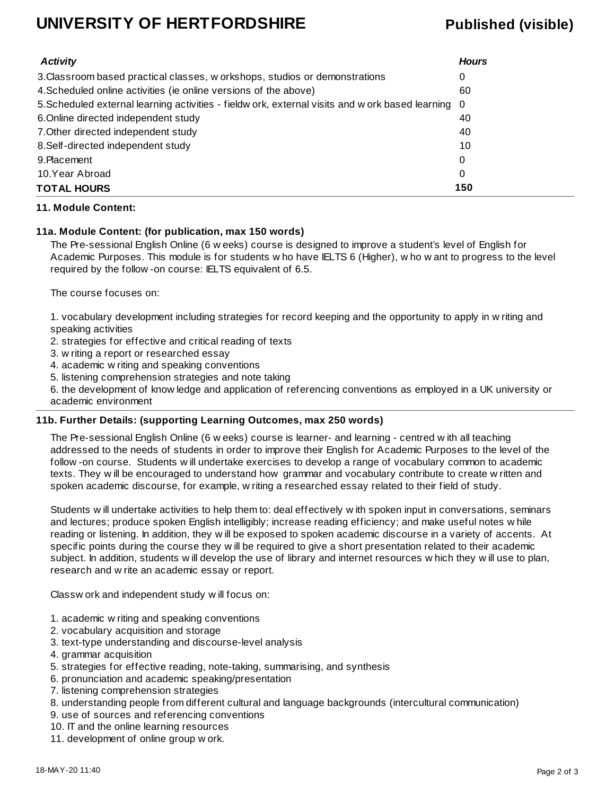## **UNIVERSITY OF HERTFORDSHIRE Published (visible)**

| <b>Activity</b>                                                                                    | <b>Hours</b> |
|----------------------------------------------------------------------------------------------------|--------------|
| 3. Classroom based practical classes, w orkshops, studios or demonstrations                        | 0            |
| 4. Scheduled online activities (ie online versions of the above)                                   | 60           |
| 5. Scheduled external learning activities - fieldw ork, external visits and w ork based learning 0 |              |
| 6. Online directed independent study                                                               | 40           |
| 7. Other directed independent study                                                                | 40           |
| 8. Self-directed independent study                                                                 | 10           |
| 9. Placement                                                                                       | 0            |
| 10.Year Abroad                                                                                     | 0            |
| <b>TOTAL HOURS</b>                                                                                 | 150          |

#### **11. Module Content:**

#### **11a. Module Content: (for publication, max 150 words)**

The Pre-sessional English Online (6 weeks) course is designed to improve a student's level of English for Academic Purposes. This module is for students who have IELTS 6 (Higher), who want to progress to the level required by the follow-on course: IELTS equivalent of 6.5.

The course focuses on:

1. vocabulary development including strategies for record keeping and the opportunity to apply in writing and speaking activities

2. strategies for effective and critical reading of texts

3. writing a report or researched essay

4. academic writing and speaking conventions

5. listening comprehension strategies and note taking

6. the development of knowledge and application of referencing conventions as employed in a UK university or academic environment

#### **11b. Further Details: (supporting Learning Outcomes, max 250 words)**

The Pre-sessional English Online (6 weeks) course is learner- and learning - centred with all teaching addressed to the needs of students in order to improve their English for Academic Purposes to the level of the follow-on course. Students will undertake exercises to develop a range of vocabulary common to academic texts. They will be encouraged to understand how grammar and vocabulary contribute to create written and spoken academic discourse, for example, writing a researched essay related to their field of study.

Students will undertake activities to help them to: deal effectively with spoken input in conversations, seminars and lectures; produce spoken English intelligibly; increase reading efficiency; and make useful notes while reading or listening. In addition, they will be exposed to spoken academic discourse in a variety of accents. At specific points during the course they will be required to give a short presentation related to their academic subject. In addition, students will develop the use of library and internet resources which they will use to plan, research and write an academic essay or report.

Classwork and independent study will focus on:

- 1. academic writing and speaking conventions
- 2. vocabulary acquisition and storage
- 3. text-type understanding and discourse-level analysis
- 4. grammar acquisition
- 5. strategies for effective reading, note-taking, summarising, and synthesis
- 6. pronunciation and academic speaking/presentation
- 7. listening comprehension strategies
- 8. understanding people from different cultural and language backgrounds (intercultural communication)
- 9. use of sources and referencing conventions
- 10. IT and the online learning resources
- 11. development of online group work.